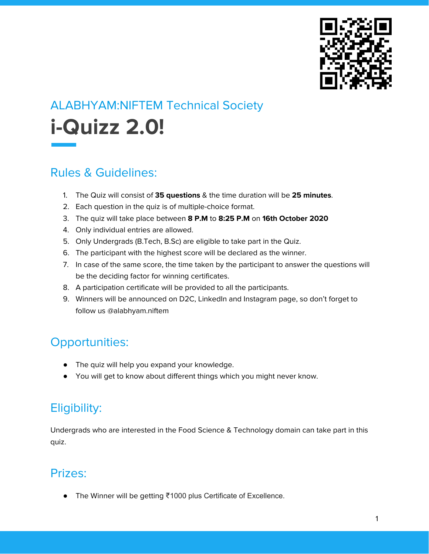

# ALABHYAM:NIFTEM Technical Society **i-Quizz 2.0!**

#### Rules & Guidelines:

- 1. The Quiz will consist of **35 questions** & the time duration will be **25 minutes**.
- 2. Each question in the quiz is of multiple-choice format.
- 3. The quiz will take place between **8 P.M** to **8:25 P.M** on **16th October 2020**
- 4. Only individual entries are allowed.
- 5. Only Undergrads (B.Tech, B.Sc) are eligible to take part in the Quiz.
- 6. The participant with the highest score will be declared as the winner.
- 7. In case of the same score, the time taken by the participant to answer the questions will be the deciding factor for winning certificates.
- 8. A participation certificate will be provided to all the participants.
- 9. Winners will be announced on D2C, LinkedIn and Instagram page, so don't forget to follow us @alabhyam.niftem

## Opportunities:

- The quiz will help you expand your knowledge.
- You will get to know about different things which you might never know.

## Eligibility:

Undergrads who are interested in the Food Science & Technology domain can take part in this quiz.

#### Prizes:

● The Winner will be getting ₹1000 plus Certificate of Excellence.